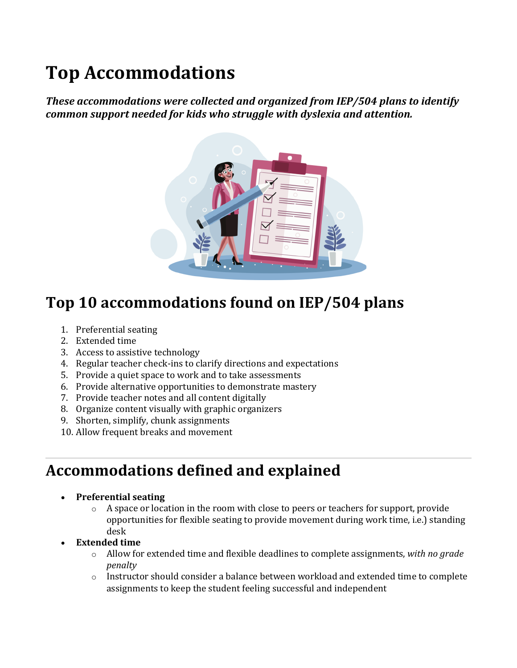# **Top Accommodations**

**These accommodations were collected and organized from IEP/504 plans to identify** *common support needed for kids who struggle with dyslexia and attention.* 



## Top 10 accommodations found on IEP/504 plans

- 1. Preferential seating
- 2. Extended time
- 3. Access to assistive technology
- 4. Regular teacher check-ins to clarify directions and expectations
- 5. Provide a quiet space to work and to take assessments
- 6. Provide alternative opportunities to demonstrate mastery
- 7. Provide teacher notes and all content digitally
- 8. Organize content visually with graphic organizers
- 9. Shorten, simplify, chunk assignments
- 10. Allow frequent breaks and movement

## **Accommodations defined and explained**

- **Preferential seating**
	- $\circ$  A space or location in the room with close to peers or teachers for support, provide opportunities for flexible seating to provide movement during work time, i.e.) standing desk
- **Extended time** 
	- o Allow for extended time and flexible deadlines to complete assignments, with no grade *penalty*
	- $\circ$  Instructor should consider a balance between workload and extended time to complete assignments to keep the student feeling successful and independent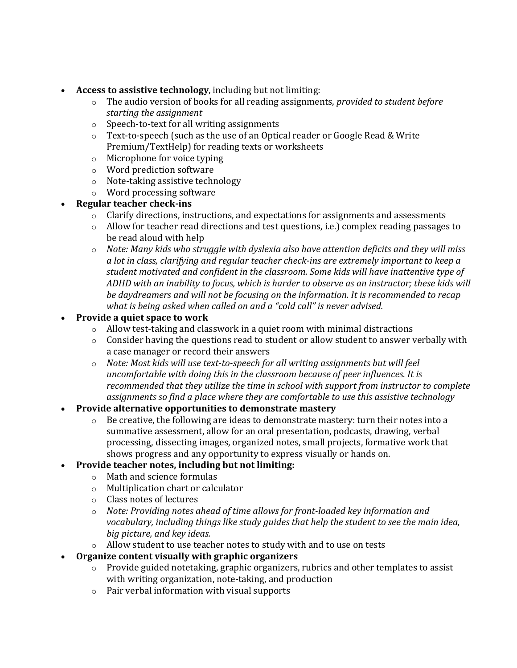- Access to assistive technology, including but not limiting:
	- o The audio version of books for all reading assignments, *provided to student before starting the assignment*
	- $\circ$  Speech-to-text for all writing assignments
	- $\circ$  Text-to-speech (such as the use of an Optical reader or Google Read & Write Premium/TextHelp) for reading texts or worksheets
	- $\circ$  Microphone for voice typing
	- $\circ$  Word prediction software
	- $\circ$  Note-taking assistive technology
	- $\circ$  Word processing software

#### **Regular teacher check-ins**

- $\circ$  Clarify directions, instructions, and expectations for assignments and assessments
- $\circ$  Allow for teacher read directions and test questions, i.e.) complex reading passages to be read aloud with help
- $\circ$  *Note: Many kids who struggle with dyslexia also have attention deficits and they will miss a* lot in class, clarifying and regular teacher check-ins are extremely important to keep a student motivated and confident in the classroom. Some kids will have inattentive type of *ADHD* with an inability to focus, which is harder to observe as an instructor; these kids will be daydreamers and will not be focusing on the information. It is recommended to recap what is being asked when called on and a "cold call" is never advised.

#### • **Provide a quiet space to work**

- $\circ$  Allow test-taking and classwork in a quiet room with minimal distractions
- $\circ$  Consider having the questions read to student or allow student to answer verbally with a case manager or record their answers
- $\circ$  *Note: Most kids will use text-to-speech for all writing assignments but will feel uncomfortable with doing this in the classroom because of peer influences. It is recommended* that they utilize the time in school with support from instructor to complete *assignments so find a place where they are comfortable to use this assistive technology*

#### **Provide alternative opportunities to demonstrate mastery**

 $\circ$  Be creative, the following are ideas to demonstrate mastery: turn their notes into a summative assessment, allow for an oral presentation, podcasts, drawing, verbal processing, dissecting images, organized notes, small projects, formative work that shows progress and any opportunity to express visually or hands on.

#### Provide teacher notes, including but not limiting:

- $\circ$  Math and science formulas
- $\circ$  Multiplication chart or calculator
- o Class notes of lectures
- o *Note: Providing notes ahead of time allows for front-loaded key information and* vocabulary, including things like study guides that help the student to see the main idea, *big picture, and key ideas.*
- $\circ$  Allow student to use teacher notes to study with and to use on tests
- **Organize content visually with graphic organizers** 
	- $\circ$  Provide guided notetaking, graphic organizers, rubrics and other templates to assist with writing organization, note-taking, and production
	- $\circ$  Pair verbal information with visual supports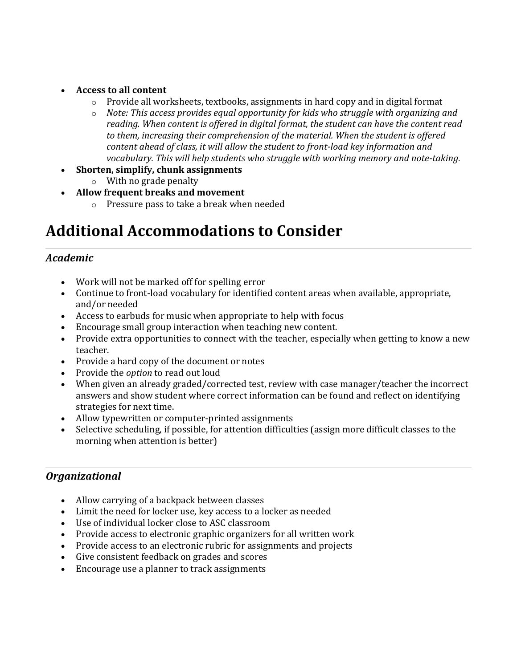#### • **Access to all content**

- $\circ$  Provide all worksheets, textbooks, assignments in hard copy and in digital format
- o *Note: This access provides equal opportunity for kids who struggle with organizing and reading.* When content is offered in digital format, the student can have the content read to them, increasing their comprehension of the material. When the student is offered *content ahead of class, it will allow the student to front-load key information and vocabulary.* This will help students who struggle with working memory and note-taking.
- Shorten, simplify, chunk assignments
	- $\circ$  With no grade penalty
	- **Allow frequent breaks and movement**
		- $\circ$  Pressure pass to take a break when needed

### **Additional Accommodations to Consider**

#### *Academic*

- Work will not be marked off for spelling error
- Continue to front-load vocabulary for identified content areas when available, appropriate, and/or needed
- Access to earbuds for music when appropriate to help with focus
- Encourage small group interaction when teaching new content.
- Provide extra opportunities to connect with the teacher, especially when getting to know a new teacher.
- Provide a hard copy of the document or notes
- Provide the *option* to read out loud
- When given an already graded/corrected test, review with case manager/teacher the incorrect answers and show student where correct information can be found and reflect on identifying strategies for next time.
- Allow typewritten or computer-printed assignments
- Selective scheduling, if possible, for attention difficulties (assign more difficult classes to the morning when attention is better)

#### *Organizational*

- Allow carrying of a backpack between classes
- Limit the need for locker use, key access to a locker as needed
- Use of individual locker close to ASC classroom
- Provide access to electronic graphic organizers for all written work
- Provide access to an electronic rubric for assignments and projects
- Give consistent feedback on grades and scores
- Encourage use a planner to track assignments